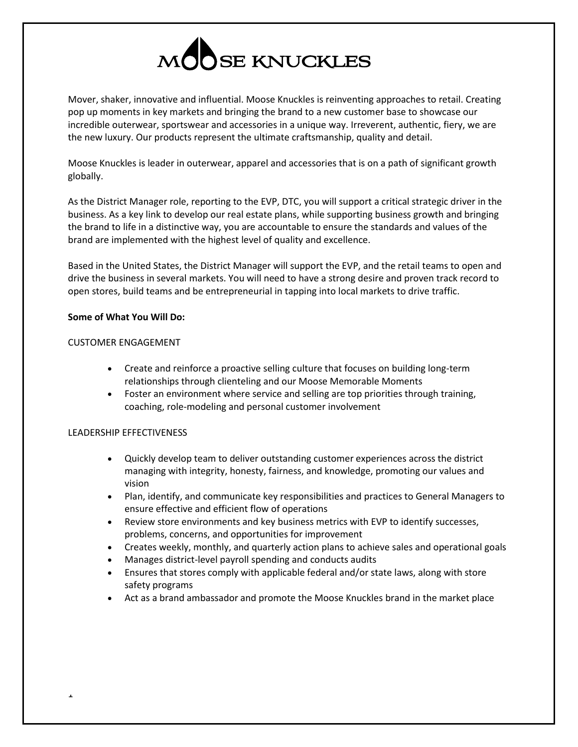

Mover, shaker, innovative and influential. Moose Knuckles is reinventing approaches to retail. Creating pop up moments in key markets and bringing the brand to a new customer base to showcase our incredible outerwear, sportswear and accessories in a unique way. Irreverent, authentic, fiery, we are the new luxury. Our products represent the ultimate craftsmanship, quality and detail.

Moose Knuckles is leader in outerwear, apparel and accessories that is on a path of significant growth globally.

As the District Manager role, reporting to the EVP, DTC, you will support a critical strategic driver in the business. As a key link to develop our real estate plans, while supporting business growth and bringing the brand to life in a distinctive way, you are accountable to ensure the standards and values of the brand are implemented with the highest level of quality and excellence.

Based in the United States, the District Manager will support the EVP, and the retail teams to open and drive the business in several markets. You will need to have a strong desire and proven track record to open stores, build teams and be entrepreneurial in tapping into local markets to drive traffic.

#### **Some of What You Will Do:**

# CUSTOMER ENGAGEMENT

- Create and reinforce a proactive selling culture that focuses on building long-term relationships through clienteling and our Moose Memorable Moments
- Foster an environment where service and selling are top priorities through training, coaching, role-modeling and personal customer involvement

## LEADERSHIP EFFECTIVENESS

1

- Quickly develop team to deliver outstanding customer experiences across the district managing with integrity, honesty, fairness, and knowledge, promoting our values and vision
- Plan, identify, and communicate key responsibilities and practices to General Managers to ensure effective and efficient flow of operations
- Review store environments and key business metrics with EVP to identify successes, problems, concerns, and opportunities for improvement
- Creates weekly, monthly, and quarterly action plans to achieve sales and operational goals
- Manages district-level payroll spending and conducts audits
- Ensures that stores comply with applicable federal and/or state laws, along with store safety programs
- Act as a brand ambassador and promote the Moose Knuckles brand in the market place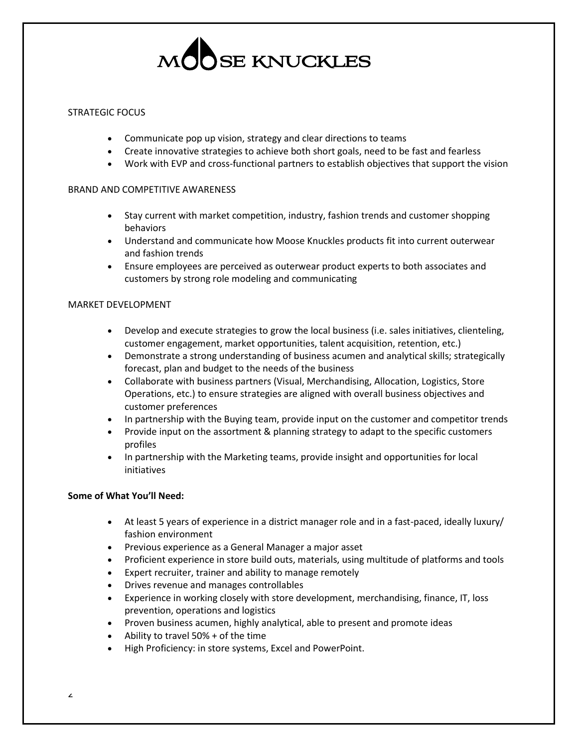

### STRATEGIC FOCUS

- Communicate pop up vision, strategy and clear directions to teams
- Create innovative strategies to achieve both short goals, need to be fast and fearless
- Work with EVP and cross-functional partners to establish objectives that support the vision

#### BRAND AND COMPETITIVE AWARENESS

- Stay current with market competition, industry, fashion trends and customer shopping behaviors
- Understand and communicate how Moose Knuckles products fit into current outerwear and fashion trends
- Ensure employees are perceived as outerwear product experts to both associates and customers by strong role modeling and communicating

#### MARKET DEVELOPMENT

- Develop and execute strategies to grow the local business (i.e. sales initiatives, clienteling, customer engagement, market opportunities, talent acquisition, retention, etc.)
- Demonstrate a strong understanding of business acumen and analytical skills; strategically forecast, plan and budget to the needs of the business
- Collaborate with business partners (Visual, Merchandising, Allocation, Logistics, Store Operations, etc.) to ensure strategies are aligned with overall business objectives and customer preferences
- In partnership with the Buying team, provide input on the customer and competitor trends
- Provide input on the assortment & planning strategy to adapt to the specific customers profiles
- In partnership with the Marketing teams, provide insight and opportunities for local initiatives

#### **Some of What You'll Need:**

- At least 5 years of experience in a district manager role and in a fast-paced, ideally luxury/ fashion environment
- Previous experience as a General Manager a major asset
- Proficient experience in store build outs, materials, using multitude of platforms and tools
- Expert recruiter, trainer and ability to manage remotely
- Drives revenue and manages controllables
- Experience in working closely with store development, merchandising, finance, IT, loss prevention, operations and logistics
- Proven business acumen, highly analytical, able to present and promote ideas
- Ability to travel 50% + of the time
- High Proficiency: in store systems, Excel and PowerPoint.